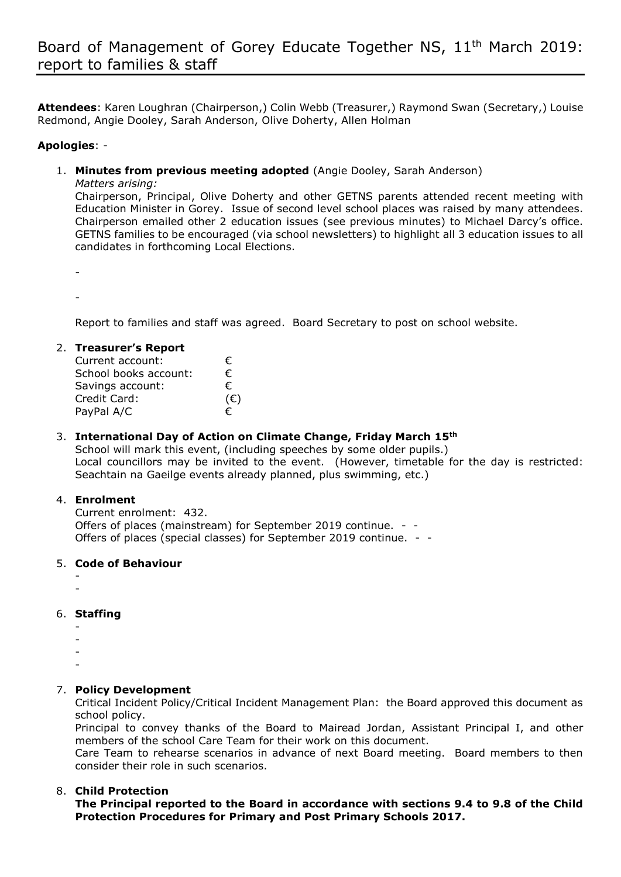**Attendees**: Karen Loughran (Chairperson,) Colin Webb (Treasurer,) Raymond Swan (Secretary,) Louise Redmond, Angie Dooley, Sarah Anderson, Olive Doherty, Allen Holman

#### **Apologies**: -

1. **Minutes from previous meeting adopted** (Angie Dooley, Sarah Anderson)

*Matters arising:*

Chairperson, Principal, Olive Doherty and other GETNS parents attended recent meeting with Education Minister in Gorey. Issue of second level school places was raised by many attendees. Chairperson emailed other 2 education issues (see previous minutes) to Michael Darcy's office. GETNS families to be encouraged (via school newsletters) to highlight all 3 education issues to all candidates in forthcoming Local Elections.

-

-

Report to families and staff was agreed. Board Secretary to post on school website.

#### 2. **Treasurer's Report**

| Current account:      | €            |
|-----------------------|--------------|
| School books account: | €            |
| Savings account:      | €            |
| Credit Card:          | $(\epsilon)$ |
| PayPal A/C            | €            |

# 3. **International Day of Action on Climate Change, Friday March 15th**

School will mark this event, (including speeches by some older pupils.) Local councillors may be invited to the event. (However, timetable for the day is restricted: Seachtain na Gaeilge events already planned, plus swimming, etc.)

# 4. **Enrolment**

Current enrolment: 432. Offers of places (mainstream) for September 2019 continue. - - Offers of places (special classes) for September 2019 continue. - -

# 5. **Code of Behaviour**

- -
- 6. **Staffing**
	- -
	- -
	- -
	- -

# 7. **Policy Development**

Critical Incident Policy/Critical Incident Management Plan: the Board approved this document as school policy.

Principal to convey thanks of the Board to Mairead Jordan, Assistant Principal I, and other members of the school Care Team for their work on this document.

Care Team to rehearse scenarios in advance of next Board meeting. Board members to then consider their role in such scenarios.

# 8. **Child Protection**

**The Principal reported to the Board in accordance with sections 9.4 to 9.8 of the Child Protection Procedures for Primary and Post Primary Schools 2017.**